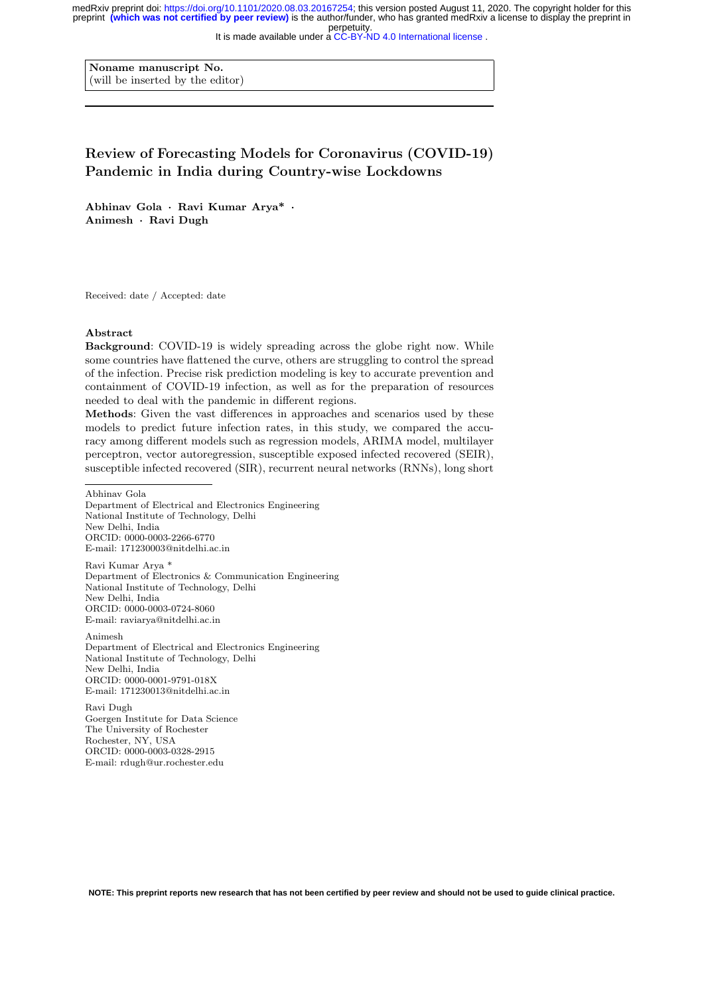It is made available under a CC-BY-ND 4.0 International license.

Noname manuscript No. (will be inserted by the editor)

Review of Forecasting Models for Coronavirus (COVID-19) Pandemic in India during Country-wise Lockdowns

Abhinav Gola · Ravi Kumar Arya\* · Animesh · Ravi Dugh

Received: date / Accepted: date

# Abstract

Background: COVID-19 is widely spreading across the globe right now. While some countries have flattened the curve, others are struggling to control the spread of the infection. Precise risk prediction modeling is key to accurate prevention and containment of COVID-19 infection, as well as for the preparation of resources needed to deal with the pandemic in different regions.

Methods: Given the vast differences in approaches and scenarios used by these models to predict future infection rates, in this study, we compared the accuracy among different models such as regression models, ARIMA model, multilayer perceptron, vector autoregression, susceptible exposed infected recovered (SEIR), susceptible infected recovered (SIR), recurrent neural networks (RNNs), long short

Abhinav Gola

Department of Electrical and Electronics Engineering National Institute of Technology, Delhi New Delhi, India ORCID: 0000-0003-2266-6770 E-mail: 171230003@nitdelhi.ac.in

Ravi Kumar Arya \* Department of Electronics & Communication Engineering National Institute of Technology, Delhi New Delhi, India ORCID: 0000-0003-0724-8060 E-mail: raviarya@nitdelhi.ac.in

Animesh Department of Electrical and Electronics Engineering National Institute of Technology, Delhi New Delhi, India ORCID: 0000-0001-9791-018X E-mail: 171230013@nitdelhi.ac.in

Ravi Dugh Goergen Institute for Data Science The University of Rochester Rochester, NY, USA ORCID: 0000-0003-0328-2915 E-mail: rdugh@ur.rochester.edu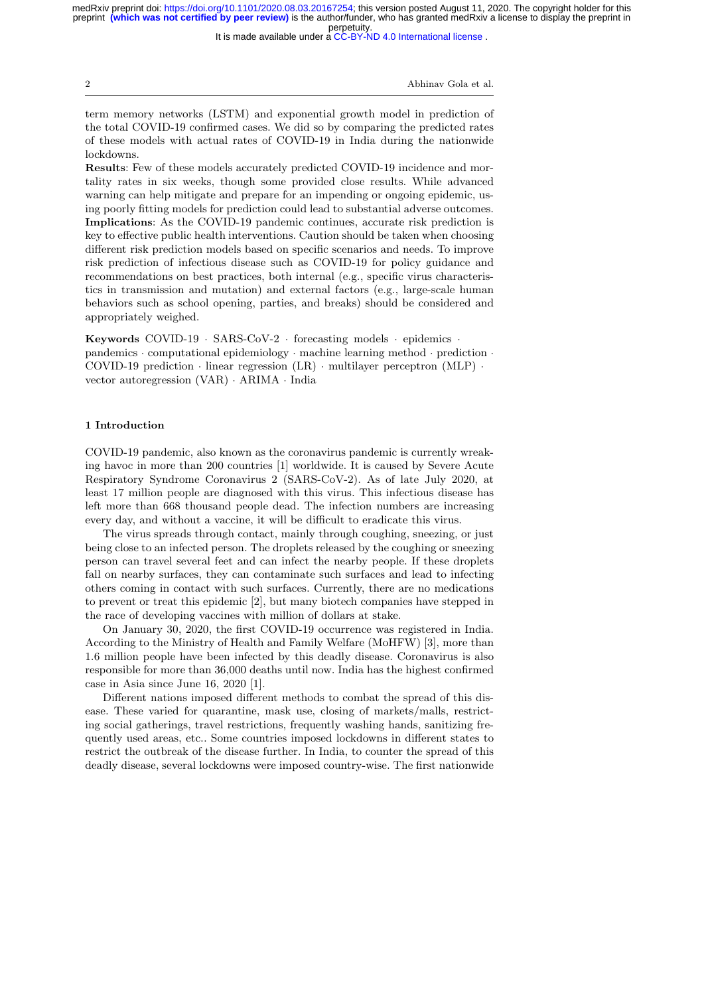It is made available under a CC-BY-ND 4.0 International license.

2 Abhinav Gola et al.

term memory networks (LSTM) and exponential growth model in prediction of the total COVID-19 confirmed cases. We did so by comparing the predicted rates of these models with actual rates of COVID-19 in India during the nationwide lockdowns.

Results: Few of these models accurately predicted COVID-19 incidence and mortality rates in six weeks, though some provided close results. While advanced warning can help mitigate and prepare for an impending or ongoing epidemic, using poorly fitting models for prediction could lead to substantial adverse outcomes. Implications: As the COVID-19 pandemic continues, accurate risk prediction is key to effective public health interventions. Caution should be taken when choosing different risk prediction models based on specific scenarios and needs. To improve risk prediction of infectious disease such as COVID-19 for policy guidance and recommendations on best practices, both internal (e.g., specific virus characteristics in transmission and mutation) and external factors (e.g., large-scale human behaviors such as school opening, parties, and breaks) should be considered and appropriately weighed.

Keywords COVID-19 · SARS-CoV-2 · forecasting models · epidemics · pandemics · computational epidemiology · machine learning method · prediction · COVID-19 prediction  $\cdot$  linear regression  $(LR) \cdot$  multilayer perceptron  $(MLP) \cdot$ vector autoregression (VAR) · ARIMA · India

# 1 Introduction

COVID-19 pandemic, also known as the coronavirus pandemic is currently wreaking havoc in more than 200 countries [1] worldwide. It is caused by Severe Acute Respiratory Syndrome Coronavirus 2 (SARS-CoV-2). As of late July 2020, at least 17 million people are diagnosed with this virus. This infectious disease has left more than 668 thousand people dead. The infection numbers are increasing every day, and without a vaccine, it will be difficult to eradicate this virus.

The virus spreads through contact, mainly through coughing, sneezing, or just being close to an infected person. The droplets released by the coughing or sneezing person can travel several feet and can infect the nearby people. If these droplets fall on nearby surfaces, they can contaminate such surfaces and lead to infecting others coming in contact with such surfaces. Currently, there are no medications to prevent or treat this epidemic [2], but many biotech companies have stepped in the race of developing vaccines with million of dollars at stake.

On January 30, 2020, the first COVID-19 occurrence was registered in India. According to the Ministry of Health and Family Welfare (MoHFW) [3], more than 1.6 million people have been infected by this deadly disease. Coronavirus is also responsible for more than 36,000 deaths until now. India has the highest confirmed case in Asia since June 16, 2020 [1].

Different nations imposed different methods to combat the spread of this disease. These varied for quarantine, mask use, closing of markets/malls, restricting social gatherings, travel restrictions, frequently washing hands, sanitizing frequently used areas, etc.. Some countries imposed lockdowns in different states to restrict the outbreak of the disease further. In India, to counter the spread of this deadly disease, several lockdowns were imposed country-wise. The first nationwide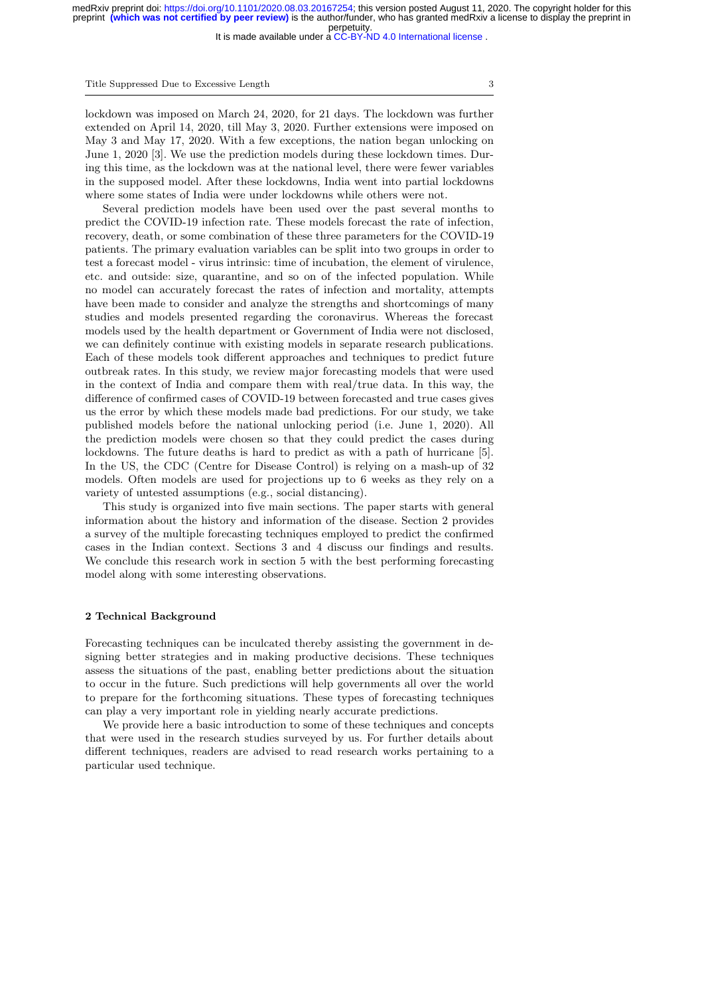It is made available under a CC-BY-ND 4.0 International license.

Title Suppressed Due to Excessive Length 3

lockdown was imposed on March 24, 2020, for 21 days. The lockdown was further extended on April 14, 2020, till May 3, 2020. Further extensions were imposed on May 3 and May 17, 2020. With a few exceptions, the nation began unlocking on June 1, 2020 [3]. We use the prediction models during these lockdown times. During this time, as the lockdown was at the national level, there were fewer variables in the supposed model. After these lockdowns, India went into partial lockdowns where some states of India were under lockdowns while others were not.

Several prediction models have been used over the past several months to predict the COVID-19 infection rate. These models forecast the rate of infection, recovery, death, or some combination of these three parameters for the COVID-19 patients. The primary evaluation variables can be split into two groups in order to test a forecast model - virus intrinsic: time of incubation, the element of virulence, etc. and outside: size, quarantine, and so on of the infected population. While no model can accurately forecast the rates of infection and mortality, attempts have been made to consider and analyze the strengths and shortcomings of many studies and models presented regarding the coronavirus. Whereas the forecast models used by the health department or Government of India were not disclosed, we can definitely continue with existing models in separate research publications. Each of these models took different approaches and techniques to predict future outbreak rates. In this study, we review major forecasting models that were used in the context of India and compare them with real/true data. In this way, the difference of confirmed cases of COVID-19 between forecasted and true cases gives us the error by which these models made bad predictions. For our study, we take published models before the national unlocking period (i.e. June 1, 2020). All the prediction models were chosen so that they could predict the cases during lockdowns. The future deaths is hard to predict as with a path of hurricane [5]. In the US, the CDC (Centre for Disease Control) is relying on a mash-up of 32 models. Often models are used for projections up to 6 weeks as they rely on a variety of untested assumptions (e.g., social distancing).

This study is organized into five main sections. The paper starts with general information about the history and information of the disease. Section 2 provides a survey of the multiple forecasting techniques employed to predict the confirmed cases in the Indian context. Sections 3 and 4 discuss our findings and results. We conclude this research work in section 5 with the best performing forecasting model along with some interesting observations.

## 2 Technical Background

Forecasting techniques can be inculcated thereby assisting the government in designing better strategies and in making productive decisions. These techniques assess the situations of the past, enabling better predictions about the situation to occur in the future. Such predictions will help governments all over the world to prepare for the forthcoming situations. These types of forecasting techniques can play a very important role in yielding nearly accurate predictions.

We provide here a basic introduction to some of these techniques and concepts that were used in the research studies surveyed by us. For further details about different techniques, readers are advised to read research works pertaining to a particular used technique.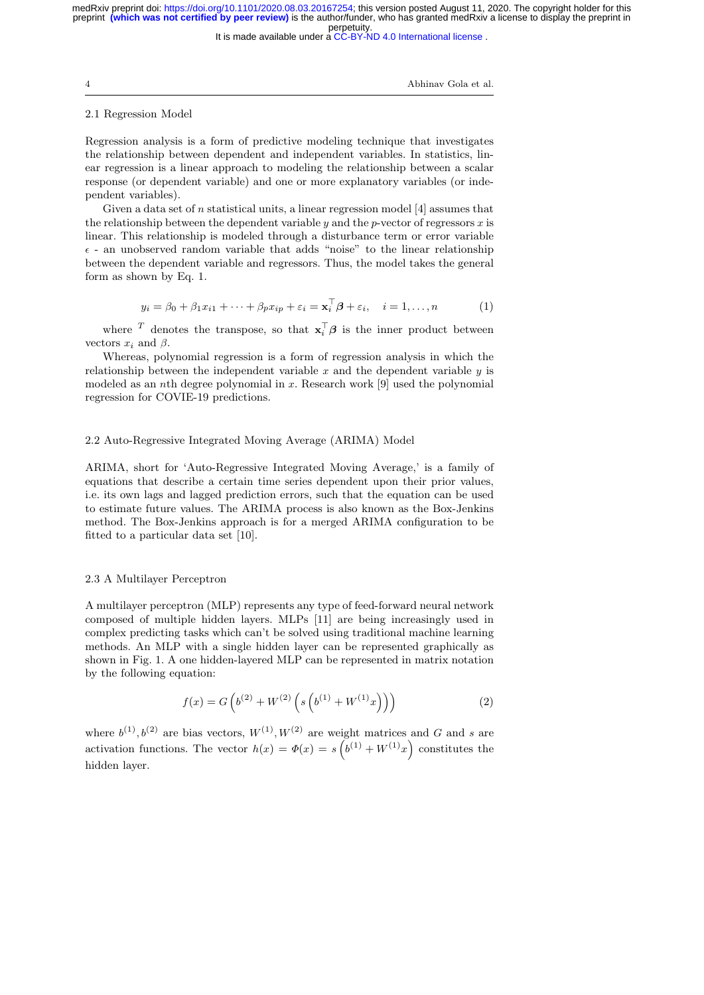It is made available under a CC-BY-ND 4.0 International license.

4 Abhinav Gola et al.

## 2.1 Regression Model

Regression analysis is a form of predictive modeling technique that investigates the relationship between dependent and independent variables. In statistics, linear regression is a linear approach to modeling the relationship between a scalar response (or dependent variable) and one or more explanatory variables (or independent variables).

Given a data set of n statistical units, a linear regression model [4] assumes that the relationship between the dependent variable  $y$  and the p-vector of regressors  $x$  is linear. This relationship is modeled through a disturbance term or error variable  $\epsilon$  - an unobserved random variable that adds "noise" to the linear relationship between the dependent variable and regressors. Thus, the model takes the general form as shown by Eq. 1.

$$
y_i = \beta_0 + \beta_1 x_{i1} + \dots + \beta_p x_{ip} + \varepsilon_i = \mathbf{x}_i^{\top} \boldsymbol{\beta} + \varepsilon_i, \quad i = 1, \dots, n \tag{1}
$$

where <sup>T</sup> denotes the transpose, so that  $\mathbf{x}_i^{\top} \boldsymbol{\beta}$  is the inner product between vectors  $x_i$  and  $\beta$ .

Whereas, polynomial regression is a form of regression analysis in which the relationship between the independent variable x and the dependent variable  $y$  is modeled as an *n*th degree polynomial in x. Research work [9] used the polynomial regression for COVIE-19 predictions.

#### 2.2 Auto-Regressive Integrated Moving Average (ARIMA) Model

ARIMA, short for 'Auto-Regressive Integrated Moving Average,' is a family of equations that describe a certain time series dependent upon their prior values, i.e. its own lags and lagged prediction errors, such that the equation can be used to estimate future values. The ARIMA process is also known as the Box-Jenkins method. The Box-Jenkins approach is for a merged ARIMA configuration to be fitted to a particular data set [10].

## 2.3 A Multilayer Perceptron

A multilayer perceptron (MLP) represents any type of feed-forward neural network composed of multiple hidden layers. MLPs [11] are being increasingly used in complex predicting tasks which can't be solved using traditional machine learning methods. An MLP with a single hidden layer can be represented graphically as shown in Fig. 1. A one hidden-layered MLP can be represented in matrix notation by the following equation:

$$
f(x) = G\left(b^{(2)} + W^{(2)}\left(s\left(b^{(1)} + W^{(1)}x\right)\right)\right) \tag{2}
$$

where  $b^{(1)}, b^{(2)}$  are bias vectors,  $W^{(1)}, W^{(2)}$  are weight matrices and G and s are activation functions. The vector  $h(x) = \Phi(x) = s\left(b^{(1)} + W^{(1)}x\right)$  constitutes the hidden layer.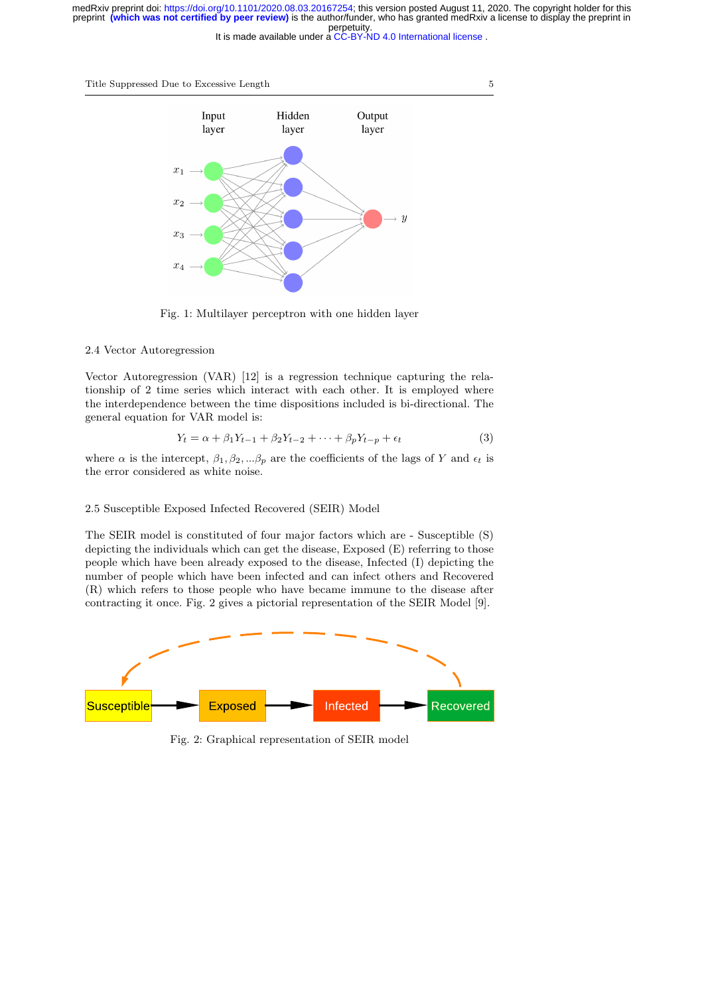It is made available under a CC-BY-ND 4.0 International license.





Fig. 1: Multilayer perceptron with one hidden layer

## 2.4 Vector Autoregression

Vector Autoregression (VAR) [12] is a regression technique capturing the relationship of 2 time series which interact with each other. It is employed where the interdependence between the time dispositions included is bi-directional. The general equation for VAR model is:

$$
Y_t = \alpha + \beta_1 Y_{t-1} + \beta_2 Y_{t-2} + \dots + \beta_p Y_{t-p} + \epsilon_t
$$
\n(3)

where  $\alpha$  is the intercept,  $\beta_1, \beta_2, \ldots, \beta_p$  are the coefficients of the lags of Y and  $\epsilon_t$  is the error considered as white noise.

# 2.5 Susceptible Exposed Infected Recovered (SEIR) Model

The SEIR model is constituted of four major factors which are - Susceptible (S) depicting the individuals which can get the disease, Exposed (E) referring to those people which have been already exposed to the disease, Infected (I) depicting the number of people which have been infected and can infect others and Recovered (R) which refers to those people who have became immune to the disease after contracting it once. Fig. 2 gives a pictorial representation of the SEIR Model [9].



Fig. 2: Graphical representation of SEIR model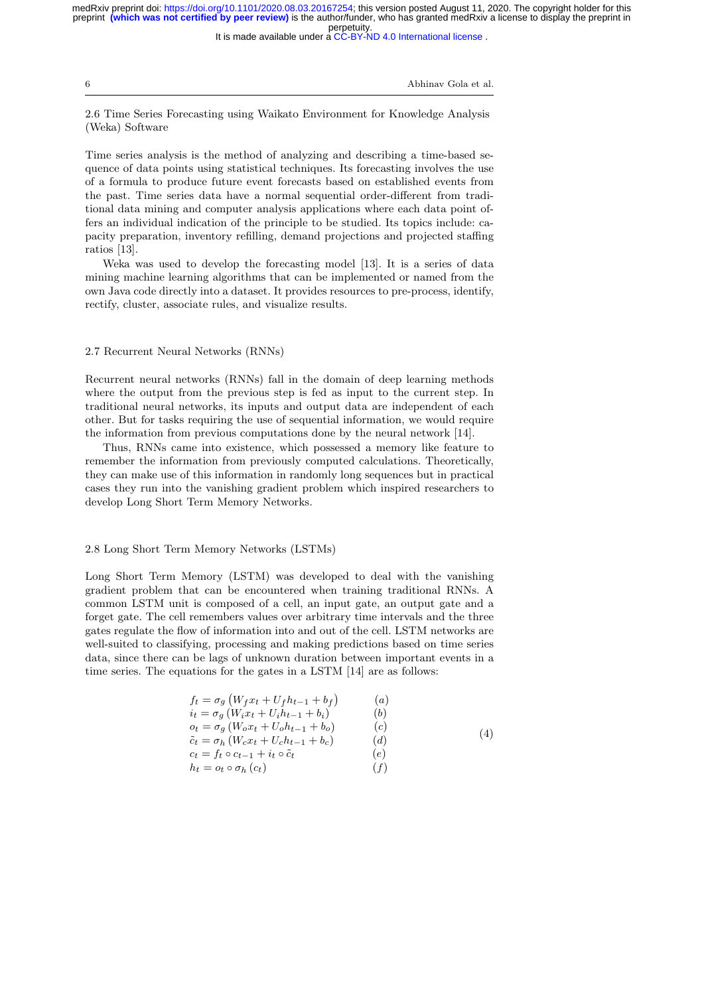It is made available under a CC-BY-ND 4.0 International license.

6 Abhinav Gola et al.

2.6 Time Series Forecasting using Waikato Environment for Knowledge Analysis (Weka) Software

Time series analysis is the method of analyzing and describing a time-based sequence of data points using statistical techniques. Its forecasting involves the use of a formula to produce future event forecasts based on established events from the past. Time series data have a normal sequential order-different from traditional data mining and computer analysis applications where each data point offers an individual indication of the principle to be studied. Its topics include: capacity preparation, inventory refilling, demand projections and projected staffing ratios [13].

Weka was used to develop the forecasting model [13]. It is a series of data mining machine learning algorithms that can be implemented or named from the own Java code directly into a dataset. It provides resources to pre-process, identify, rectify, cluster, associate rules, and visualize results.

## 2.7 Recurrent Neural Networks (RNNs)

Recurrent neural networks (RNNs) fall in the domain of deep learning methods where the output from the previous step is fed as input to the current step. In traditional neural networks, its inputs and output data are independent of each other. But for tasks requiring the use of sequential information, we would require the information from previous computations done by the neural network [14].

Thus, RNNs came into existence, which possessed a memory like feature to remember the information from previously computed calculations. Theoretically, they can make use of this information in randomly long sequences but in practical cases they run into the vanishing gradient problem which inspired researchers to develop Long Short Term Memory Networks.

# 2.8 Long Short Term Memory Networks (LSTMs)

Long Short Term Memory (LSTM) was developed to deal with the vanishing gradient problem that can be encountered when training traditional RNNs. A common LSTM unit is composed of a cell, an input gate, an output gate and a forget gate. The cell remembers values over arbitrary time intervals and the three gates regulate the flow of information into and out of the cell. LSTM networks are well-suited to classifying, processing and making predictions based on time series data, since there can be lags of unknown duration between important events in a time series. The equations for the gates in a LSTM [14] are as follows:

$$
f_t = \sigma_g (W_f x_t + U_f h_{t-1} + b_f)
$$
\n
$$
i_t = \sigma_g (W_i x_t + U_i h_{t-1} + b_i)
$$
\n
$$
\sigma_t = \sigma_g (W_o x_t + U_o h_{t-1} + b_o)
$$
\n
$$
\tilde{c}_t = \sigma_h (W_c x_t + U_c h_{t-1} + b_c)
$$
\n
$$
c_t = f_t \circ c_{t-1} + i_t \circ \tilde{c}_t
$$
\n
$$
h_t = o_t \circ \sigma_h (c_t)
$$
\n
$$
(f)
$$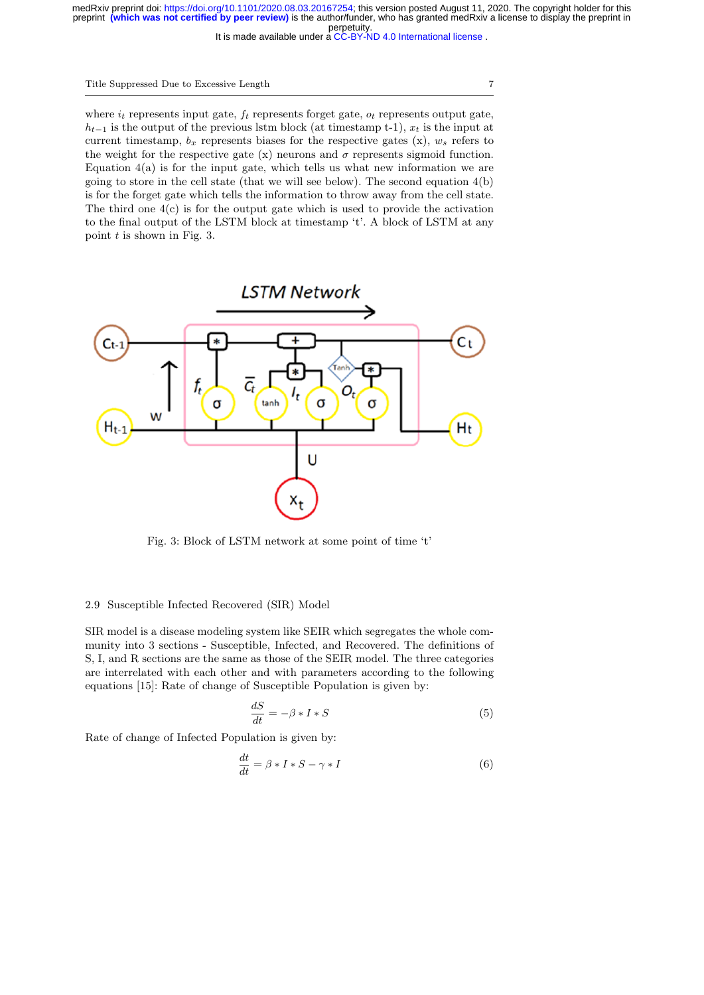It is made available under a CC-BY-ND 4.0 International license.

Title Suppressed Due to Excessive Length 7

where  $i_t$  represents input gate,  $f_t$  represents forget gate,  $o_t$  represents output gate,  $h_{t-1}$  is the output of the previous lstm block (at timestamp t-1),  $x_t$  is the input at current timestamp,  $b_x$  represents biases for the respective gates  $(x)$ ,  $w_s$  refers to the weight for the respective gate (x) neurons and  $\sigma$  represents sigmoid function. Equation  $4(a)$  is for the input gate, which tells us what new information we are going to store in the cell state (that we will see below). The second equation  $4(b)$ is for the forget gate which tells the information to throw away from the cell state. The third one  $4(c)$  is for the output gate which is used to provide the activation to the final output of the LSTM block at timestamp 't'. A block of LSTM at any point  $t$  is shown in Fig. 3.



Fig. 3: Block of LSTM network at some point of time 't'

## 2.9 Susceptible Infected Recovered (SIR) Model

SIR model is a disease modeling system like SEIR which segregates the whole community into 3 sections - Susceptible, Infected, and Recovered. The definitions of S, I, and R sections are the same as those of the SEIR model. The three categories are interrelated with each other and with parameters according to the following equations [15]: Rate of change of Susceptible Population is given by:

$$
\frac{dS}{dt} = -\beta * I * S \tag{5}
$$

Rate of change of Infected Population is given by:

$$
\frac{dt}{dt} = \beta * I * S - \gamma * I \tag{6}
$$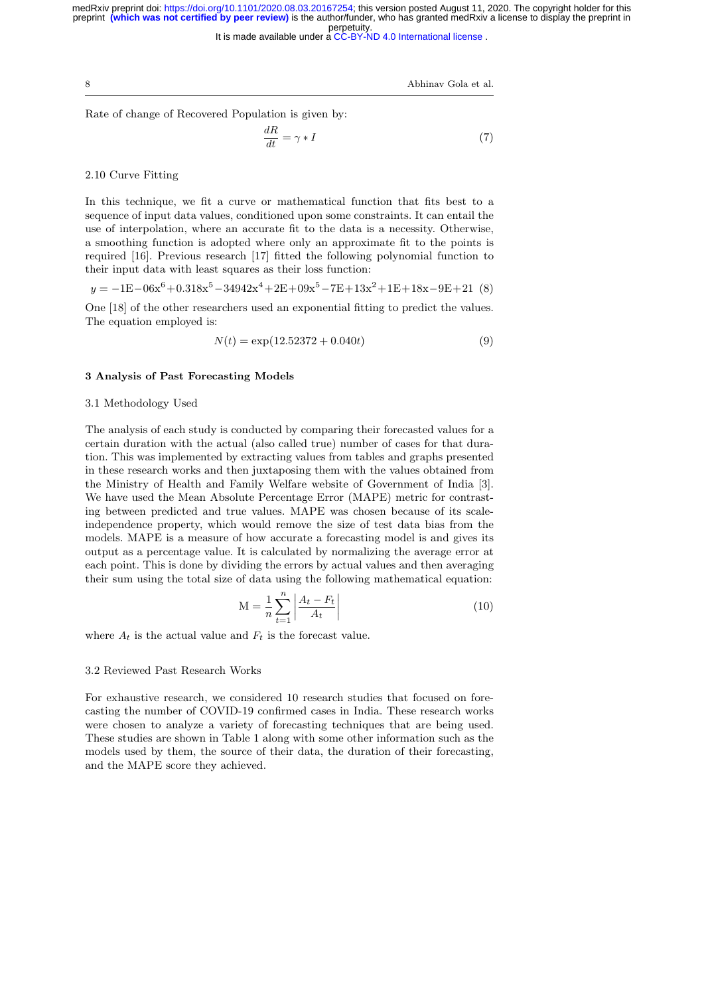It is made available under a CC-BY-ND 4.0 International license.

8 Abhinav Gola et al.

Rate of change of Recovered Population is given by:

$$
\frac{dR}{dt} = \gamma \ast I \tag{7}
$$

## 2.10 Curve Fitting

In this technique, we fit a curve or mathematical function that fits best to a sequence of input data values, conditioned upon some constraints. It can entail the use of interpolation, where an accurate fit to the data is a necessity. Otherwise, a smoothing function is adopted where only an approximate fit to the points is required [16]. Previous research [17] fitted the following polynomial function to their input data with least squares as their loss function:

 $y = -1E - 06x^{6} + 0.318x^{5} - 34942x^{4} + 2E + 09x^{5} - 7E + 13x^{2} + 1E + 18x - 9E + 21$  (8)

One [18] of the other researchers used an exponential fitting to predict the values. The equation employed is:

$$
N(t) = \exp(12.52372 + 0.040t)
$$
\n(9)

#### 3 Analysis of Past Forecasting Models

#### 3.1 Methodology Used

The analysis of each study is conducted by comparing their forecasted values for a certain duration with the actual (also called true) number of cases for that duration. This was implemented by extracting values from tables and graphs presented in these research works and then juxtaposing them with the values obtained from the Ministry of Health and Family Welfare website of Government of India [3]. We have used the Mean Absolute Percentage Error (MAPE) metric for contrasting between predicted and true values. MAPE was chosen because of its scaleindependence property, which would remove the size of test data bias from the models. MAPE is a measure of how accurate a forecasting model is and gives its output as a percentage value. It is calculated by normalizing the average error at each point. This is done by dividing the errors by actual values and then averaging their sum using the total size of data using the following mathematical equation:

$$
M = \frac{1}{n} \sum_{t=1}^{n} \left| \frac{A_t - F_t}{A_t} \right| \tag{10}
$$

where  $A_t$  is the actual value and  $F_t$  is the forecast value.

# 3.2 Reviewed Past Research Works

For exhaustive research, we considered 10 research studies that focused on forecasting the number of COVID-19 confirmed cases in India. These research works were chosen to analyze a variety of forecasting techniques that are being used. These studies are shown in Table 1 along with some other information such as the models used by them, the source of their data, the duration of their forecasting, and the MAPE score they achieved.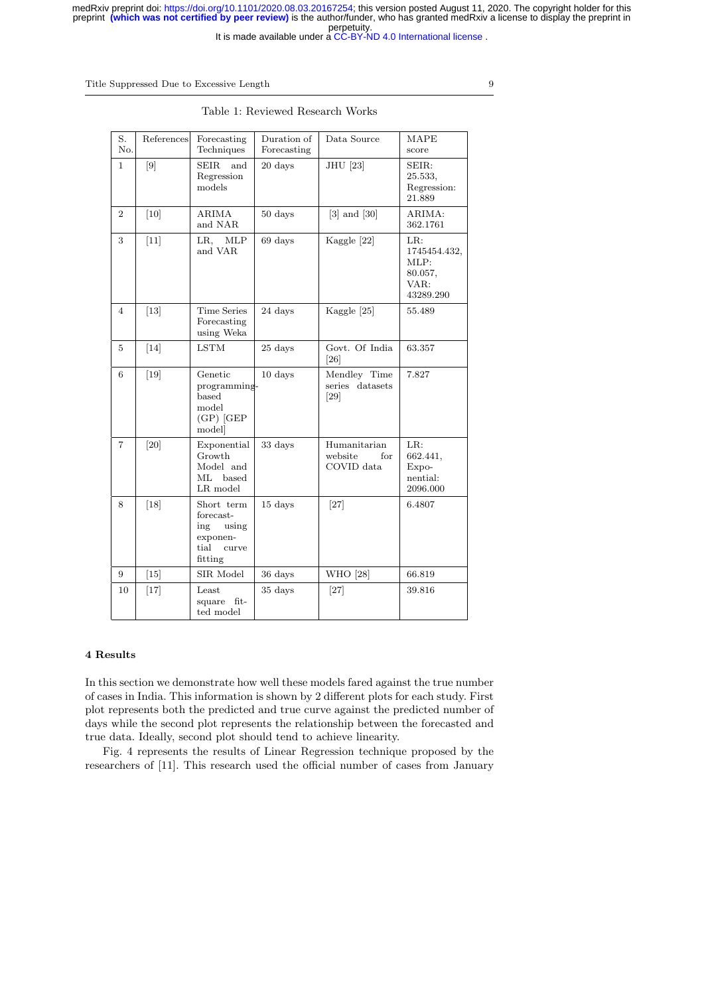It is made available under a CC-BY-ND 4.0 International license.

Title Suppressed Due to Excessive Length 9

| S.<br>No.      | References        | Forecasting<br>Techniques                                                       | Duration of<br>Forecasting | Data Source                                  | <b>MAPE</b><br>score                                        |
|----------------|-------------------|---------------------------------------------------------------------------------|----------------------------|----------------------------------------------|-------------------------------------------------------------|
| 1              | $[9]$             | and<br>SEIR.<br>Regression<br>models                                            | 20 days                    | JHU [23]                                     | SEIR:<br>25.533.<br>Regression:<br>21.889                   |
| $\overline{2}$ | [10]              | ARIMA<br>and NAR                                                                | 50 days                    | $[3]$ and $[30]$                             | ARIMA:<br>362.1761                                          |
| 3              | $[11]$            | LR.<br>MLP<br>and VAR                                                           | 69 days                    | Kaggle [22]                                  | LR:<br>1745454.432,<br>MLP:<br>80.057,<br>VAR:<br>43289.290 |
| $\overline{4}$ | $[13]$            | <b>Time Series</b><br>Forecasting<br>$\,$ using Weka                            | 24 days                    | Kaggle [25]                                  | 55.489                                                      |
| 5              | $[14]$            | <b>LSTM</b>                                                                     | 25 days                    | Govt. Of India<br>[26]                       | 63.357                                                      |
| 6              | $[19]$            | Genetic<br>programming-<br>based<br>model<br>$(GP)$ [GEP<br>model               | $10 \text{ days}$          | Mendley Time<br>series datasets<br>[29]      | 7.827                                                       |
| 7              | [20]              | Exponential<br>Growth<br>Model and<br>ML based<br>LR model                      | 33 days                    | Humanitarian<br>website<br>for<br>COVID data | LR:<br>662.441,<br>Expo-<br>nential:<br>2096.000            |
| 8              | $[18]$            | Short term<br>forecast-<br>ing<br>using<br>exponen-<br>tial<br>curve<br>fitting | 15 days                    | $[27]$                                       | 6.4807                                                      |
| 9              | $\left[15\right]$ | SIR Model                                                                       | 36 days                    | WHO [28]                                     | 66.819                                                      |
| 10             | $[17]$            | Least<br>square fit-<br>ted model                                               | 35 days                    | [27]                                         | 39.816                                                      |

Table 1: Reviewed Research Works

## 4 Results

In this section we demonstrate how well these models fared against the true number of cases in India. This information is shown by 2 different plots for each study. First plot represents both the predicted and true curve against the predicted number of days while the second plot represents the relationship between the forecasted and true data. Ideally, second plot should tend to achieve linearity.

Fig. 4 represents the results of Linear Regression technique proposed by the researchers of [11]. This research used the official number of cases from January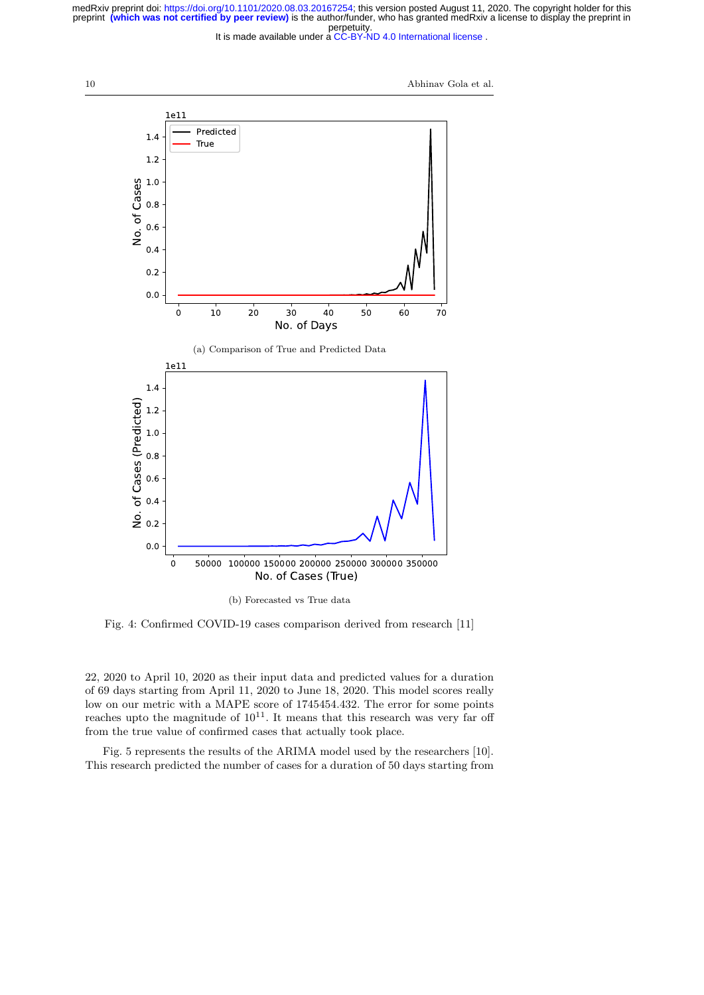It is made available under a CC-BY-ND 4.0 International license.

10 Abhinav Gola et al.



Fig. 4: Confirmed COVID-19 cases comparison derived from research [11]

22, 2020 to April 10, 2020 as their input data and predicted values for a duration of 69 days starting from April 11, 2020 to June 18, 2020. This model scores really low on our metric with a MAPE score of 1745454.432. The error for some points reaches upto the magnitude of  $10^{11}$ . It means that this research was very far off from the true value of confirmed cases that actually took place.

Fig. 5 represents the results of the ARIMA model used by the researchers [10]. This research predicted the number of cases for a duration of 50 days starting from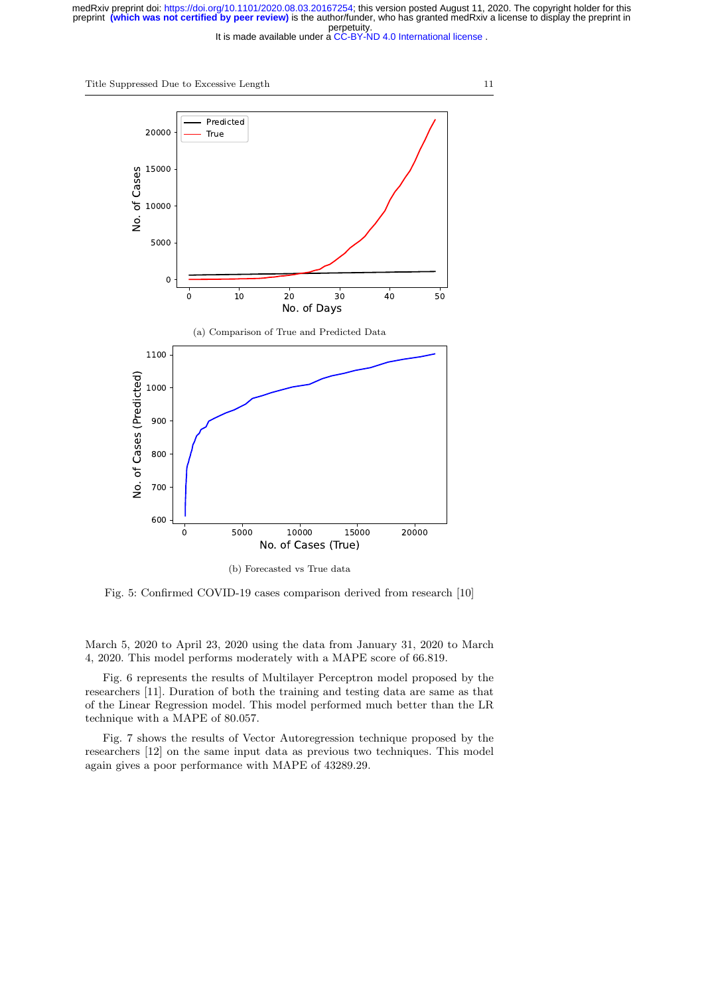It is made available under a CC-BY-ND 4.0 International license.

Title Suppressed Due to Excessive Length 11



(b) Forecasted vs True data

Fig. 5: Confirmed COVID-19 cases comparison derived from research [10]

March 5, 2020 to April 23, 2020 using the data from January 31, 2020 to March 4, 2020. This model performs moderately with a MAPE score of 66.819.

Fig. 6 represents the results of Multilayer Perceptron model proposed by the researchers [11]. Duration of both the training and testing data are same as that of the Linear Regression model. This model performed much better than the LR technique with a MAPE of 80.057.

Fig. 7 shows the results of Vector Autoregression technique proposed by the researchers [12] on the same input data as previous two techniques. This model again gives a poor performance with MAPE of 43289.29.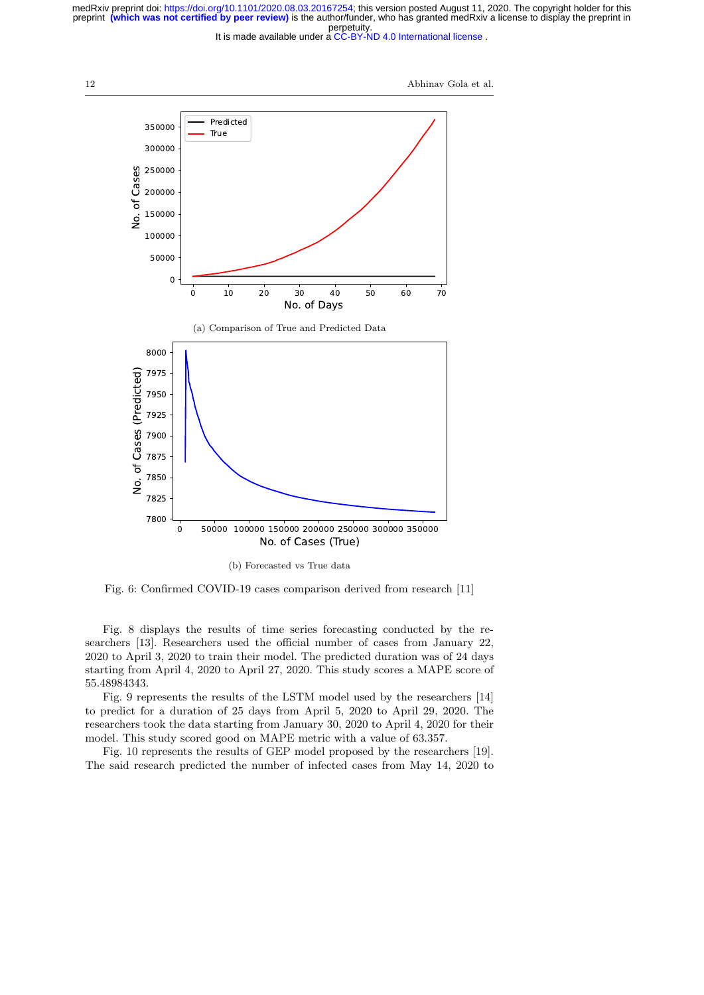It is made available under a CC-BY-ND 4.0 International license.



12 Abhinav Gola et al.



(b) Forecasted vs True data

Fig. 6: Confirmed COVID-19 cases comparison derived from research [11]

Fig. 8 displays the results of time series forecasting conducted by the researchers [13]. Researchers used the official number of cases from January 22, 2020 to April 3, 2020 to train their model. The predicted duration was of 24 days starting from April 4, 2020 to April 27, 2020. This study scores a MAPE score of 55.48984343.

Fig. 9 represents the results of the LSTM model used by the researchers [14] to predict for a duration of 25 days from April 5, 2020 to April 29, 2020. The researchers took the data starting from January 30, 2020 to April 4, 2020 for their model. This study scored good on MAPE metric with a value of 63.357.

Fig. 10 represents the results of GEP model proposed by the researchers [19]. The said research predicted the number of infected cases from May 14, 2020 to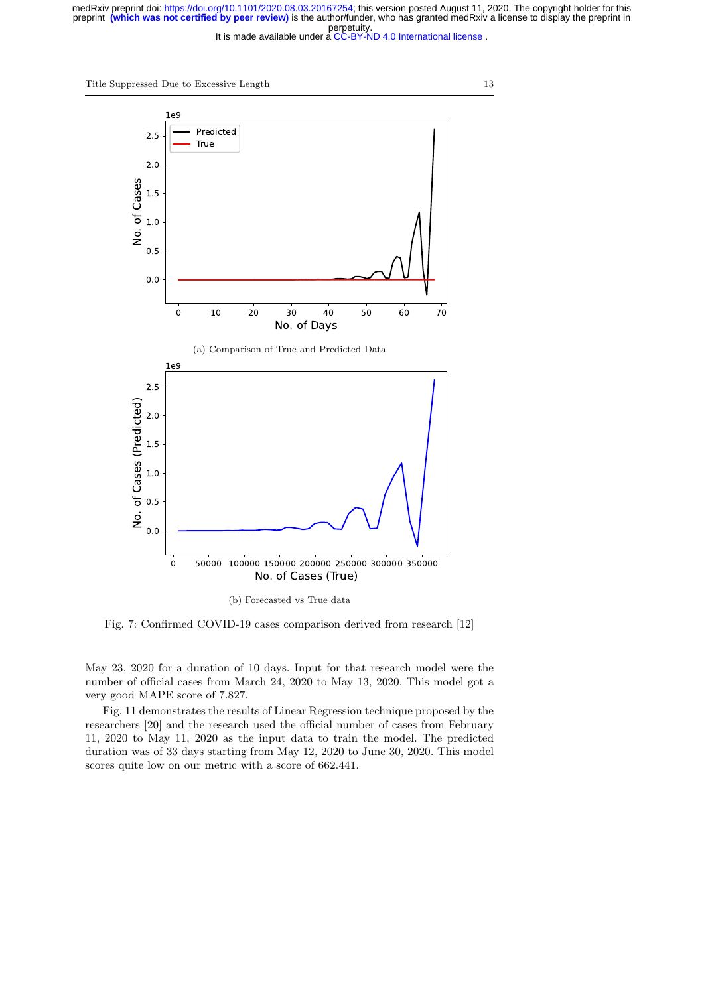It is made available under a CC-BY-ND 4.0 International license.

Title Suppressed Due to Excessive Length 13



Fig. 7: Confirmed COVID-19 cases comparison derived from research [12]

May 23, 2020 for a duration of 10 days. Input for that research model were the number of official cases from March 24, 2020 to May 13, 2020. This model got a very good MAPE score of 7.827.

Fig. 11 demonstrates the results of Linear Regression technique proposed by the researchers [20] and the research used the official number of cases from February 11, 2020 to May 11, 2020 as the input data to train the model. The predicted duration was of 33 days starting from May 12, 2020 to June 30, 2020. This model scores quite low on our metric with a score of 662.441.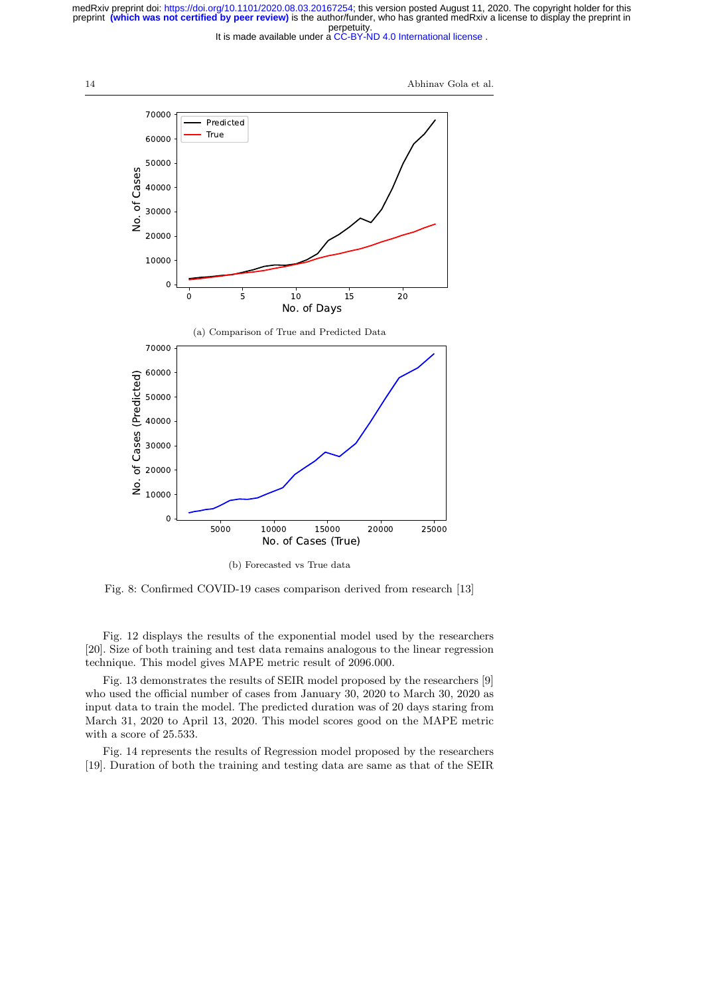It is made available under a CC-BY-ND 4.0 International license.



14 Abhinav Gola et al.



(b) Forecasted vs True data

Fig. 8: Confirmed COVID-19 cases comparison derived from research [13]

Fig. 12 displays the results of the exponential model used by the researchers [20]. Size of both training and test data remains analogous to the linear regression technique. This model gives MAPE metric result of 2096.000.

Fig. 13 demonstrates the results of SEIR model proposed by the researchers [9] who used the official number of cases from January 30, 2020 to March 30, 2020 as input data to train the model. The predicted duration was of 20 days staring from March 31, 2020 to April 13, 2020. This model scores good on the MAPE metric with a score of 25.533.

Fig. 14 represents the results of Regression model proposed by the researchers [19]. Duration of both the training and testing data are same as that of the SEIR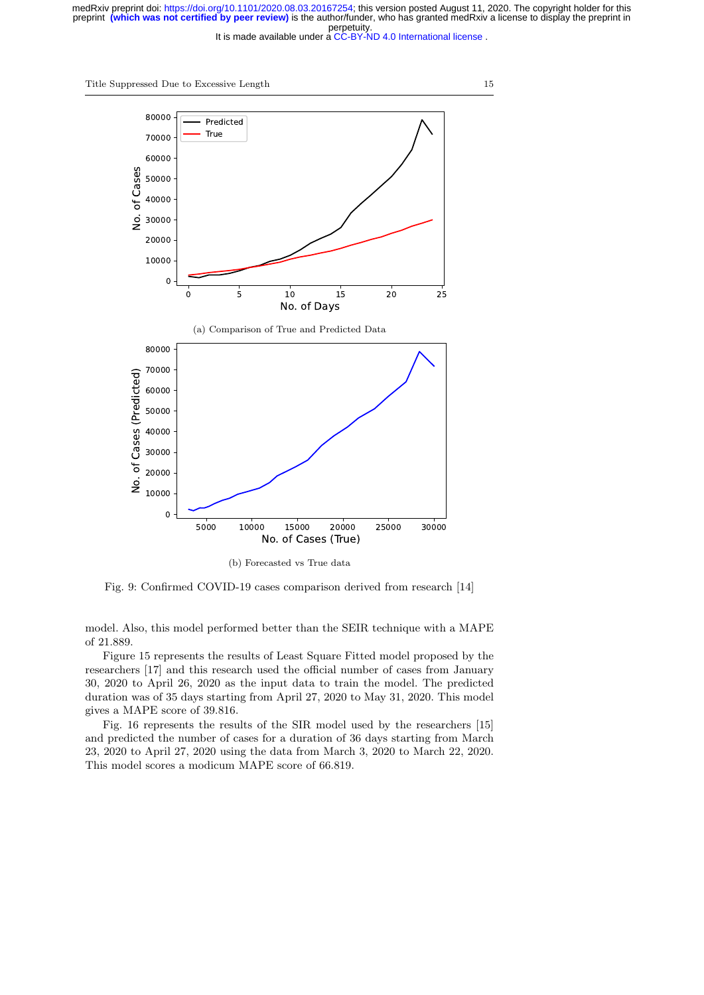It is made available under a CC-BY-ND 4.0 International license.

Title Suppressed Due to Excessive Length 15



(b) Forecasted vs True data

Fig. 9: Confirmed COVID-19 cases comparison derived from research [14]

model. Also, this model performed better than the SEIR technique with a MAPE of 21.889.

Figure 15 represents the results of Least Square Fitted model proposed by the researchers [17] and this research used the official number of cases from January 30, 2020 to April 26, 2020 as the input data to train the model. The predicted duration was of 35 days starting from April 27, 2020 to May 31, 2020. This model gives a MAPE score of 39.816.

Fig. 16 represents the results of the SIR model used by the researchers [15] and predicted the number of cases for a duration of 36 days starting from March 23, 2020 to April 27, 2020 using the data from March 3, 2020 to March 22, 2020. This model scores a modicum MAPE score of 66.819.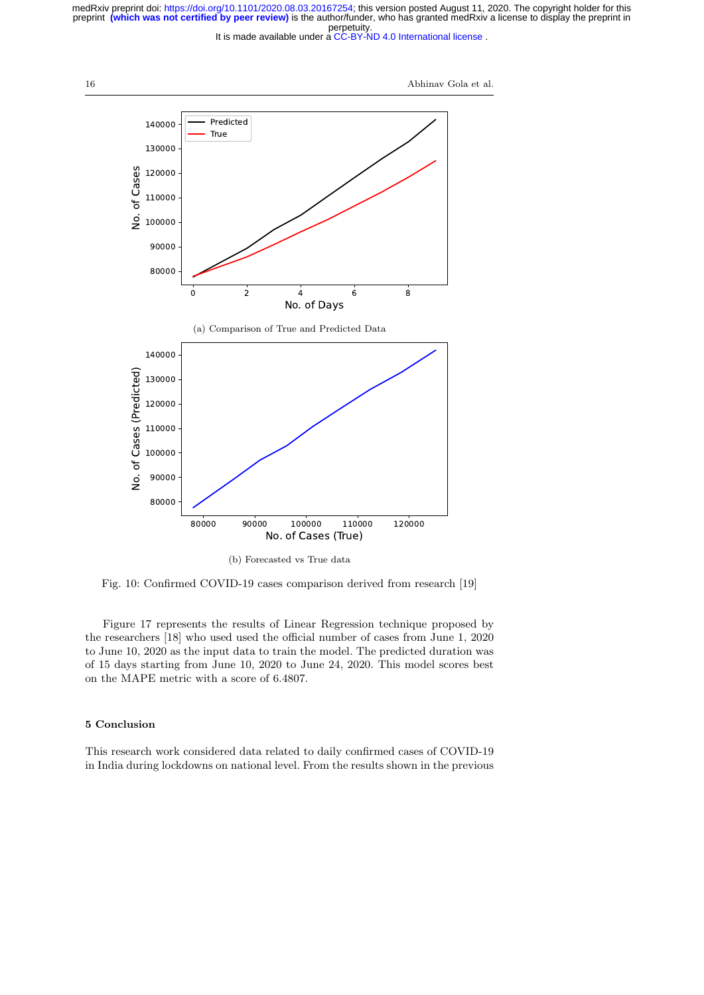It is made available under a CC-BY-ND 4.0 International license.

16 Abhinav Gola et al.



(b) Forecasted vs True data

Fig. 10: Confirmed COVID-19 cases comparison derived from research [19]

Figure 17 represents the results of Linear Regression technique proposed by the researchers [18] who used used the official number of cases from June 1, 2020 to June 10, 2020 as the input data to train the model. The predicted duration was of 15 days starting from June 10, 2020 to June 24, 2020. This model scores best on the MAPE metric with a score of 6.4807.

## 5 Conclusion

This research work considered data related to daily confirmed cases of COVID-19 in India during lockdowns on national level. From the results shown in the previous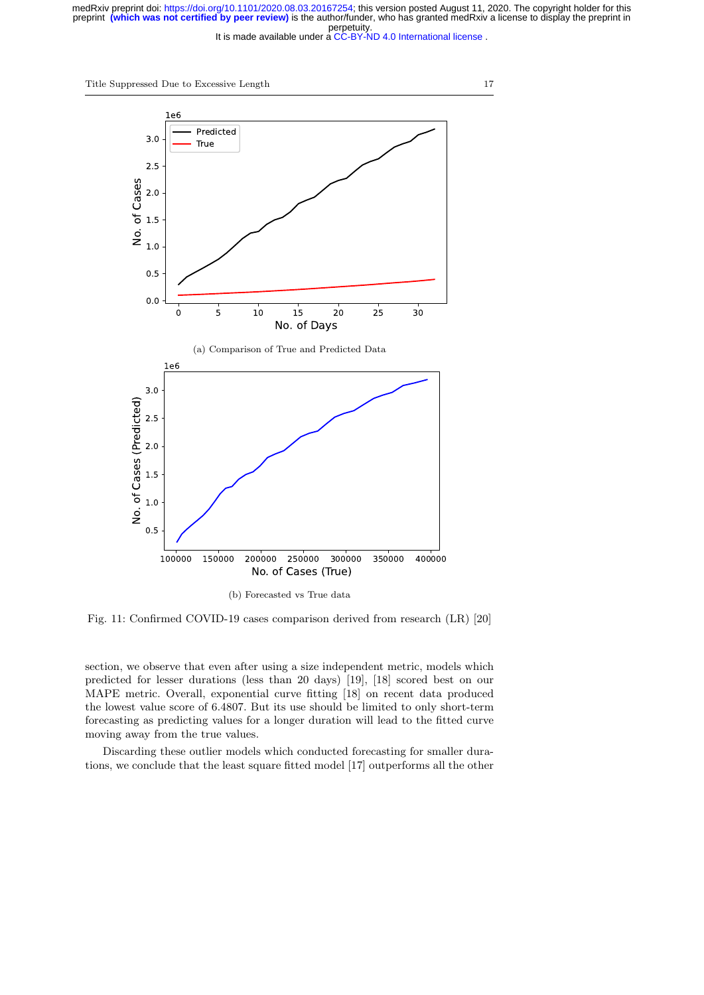It is made available under a CC-BY-ND 4.0 International license.

Title Suppressed Due to Excessive Length 17



Fig. 11: Confirmed COVID-19 cases comparison derived from research (LR) [20]

section, we observe that even after using a size independent metric, models which predicted for lesser durations (less than 20 days) [19], [18] scored best on our MAPE metric. Overall, exponential curve fitting [18] on recent data produced the lowest value score of 6.4807. But its use should be limited to only short-term forecasting as predicting values for a longer duration will lead to the fitted curve moving away from the true values.

Discarding these outlier models which conducted forecasting for smaller durations, we conclude that the least square fitted model [17] outperforms all the other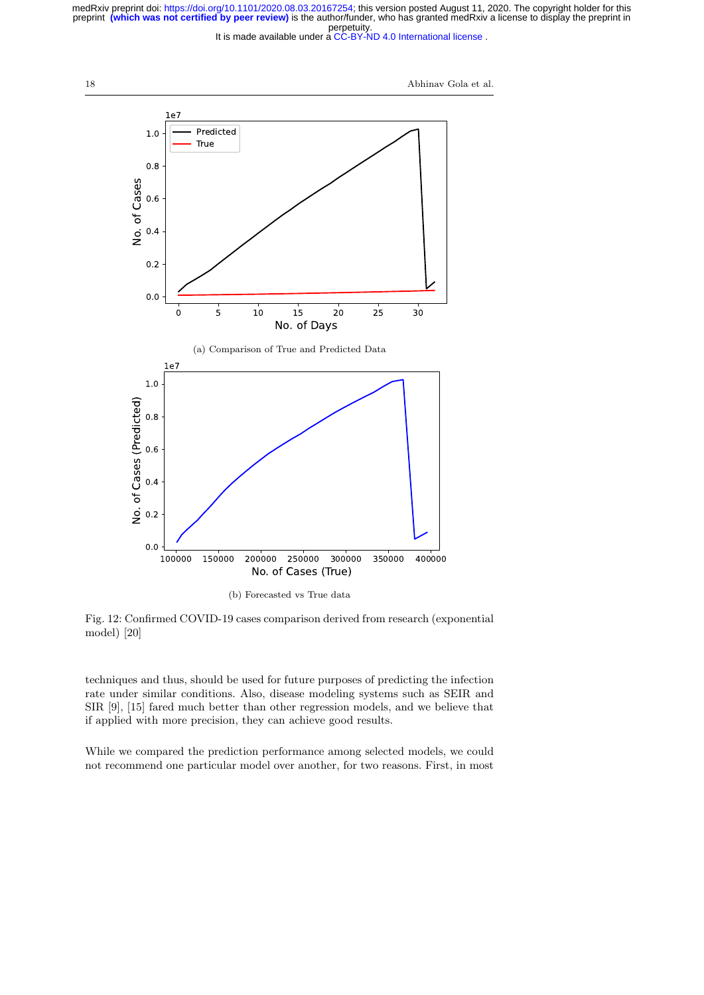It is made available under a CC-BY-ND 4.0 International license.

18 Abhinav Gola et al.



Fig. 12: Confirmed COVID-19 cases comparison derived from research (exponential model) [20]

techniques and thus, should be used for future purposes of predicting the infection rate under similar conditions. Also, disease modeling systems such as SEIR and SIR [9], [15] fared much better than other regression models, and we believe that if applied with more precision, they can achieve good results.

While we compared the prediction performance among selected models, we could not recommend one particular model over another, for two reasons. First, in most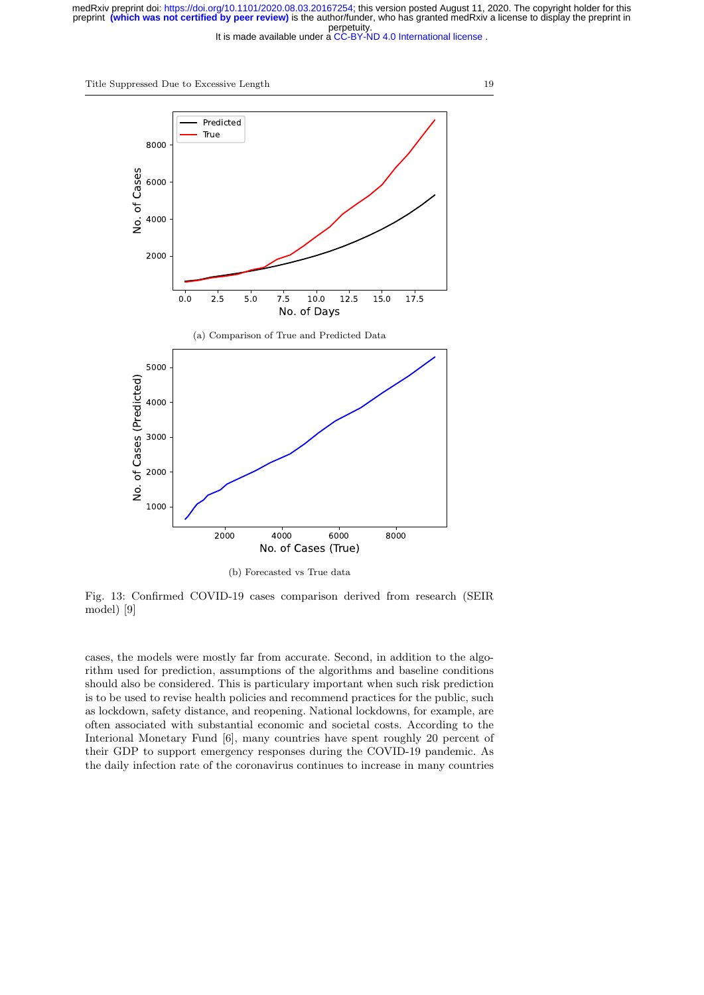It is made available under a CC-BY-ND 4.0 International license.

Title Suppressed Due to Excessive Length 19



(b) Forecasted vs True data

Fig. 13: Confirmed COVID-19 cases comparison derived from research (SEIR model) [9]

cases, the models were mostly far from accurate. Second, in addition to the algorithm used for prediction, assumptions of the algorithms and baseline conditions should also be considered. This is particulary important when such risk prediction is to be used to revise health policies and recommend practices for the public, such as lockdown, safety distance, and reopening. National lockdowns, for example, are often associated with substantial economic and societal costs. According to the Interional Monetary Fund [6], many countries have spent roughly 20 percent of their GDP to support emergency responses during the COVID-19 pandemic. As the daily infection rate of the coronavirus continues to increase in many countries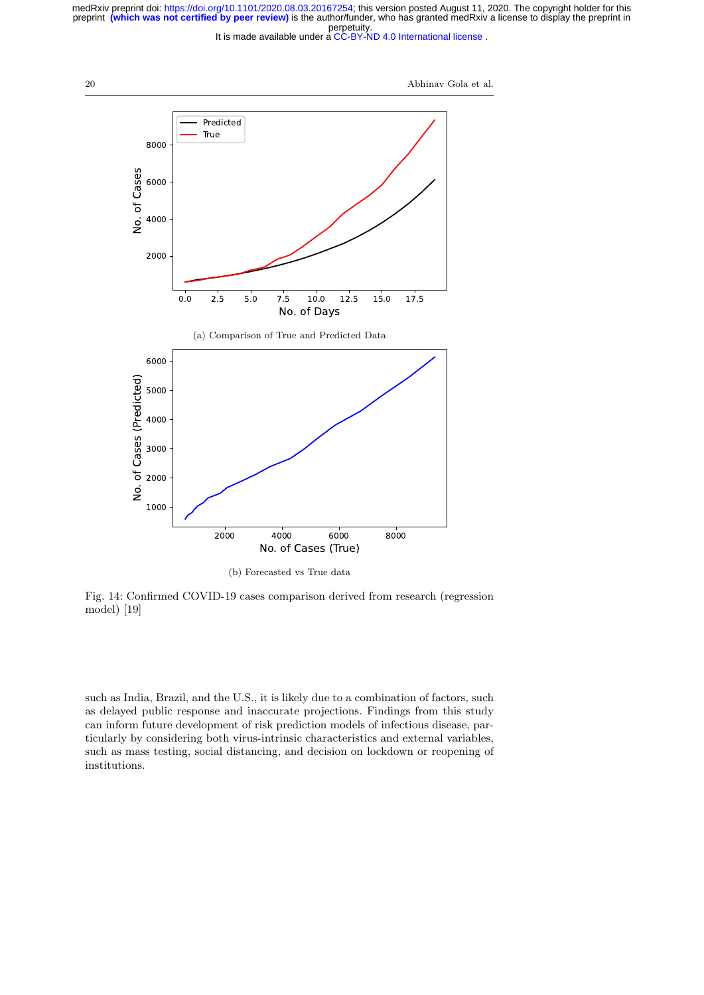It is made available under a CC-BY-ND 4.0 International license.

20 Abhinav Gola et al.



Fig. 14: Confirmed COVID-19 cases comparison derived from research (regression model) [19]

such as India, Brazil, and the U.S., it is likely due to a combination of factors, such as delayed public response and inaccurate projections. Findings from this study can inform future development of risk prediction models of infectious disease, particularly by considering both virus-intrinsic characteristics and external variables, such as mass testing, social distancing, and decision on lockdown or reopening of institutions.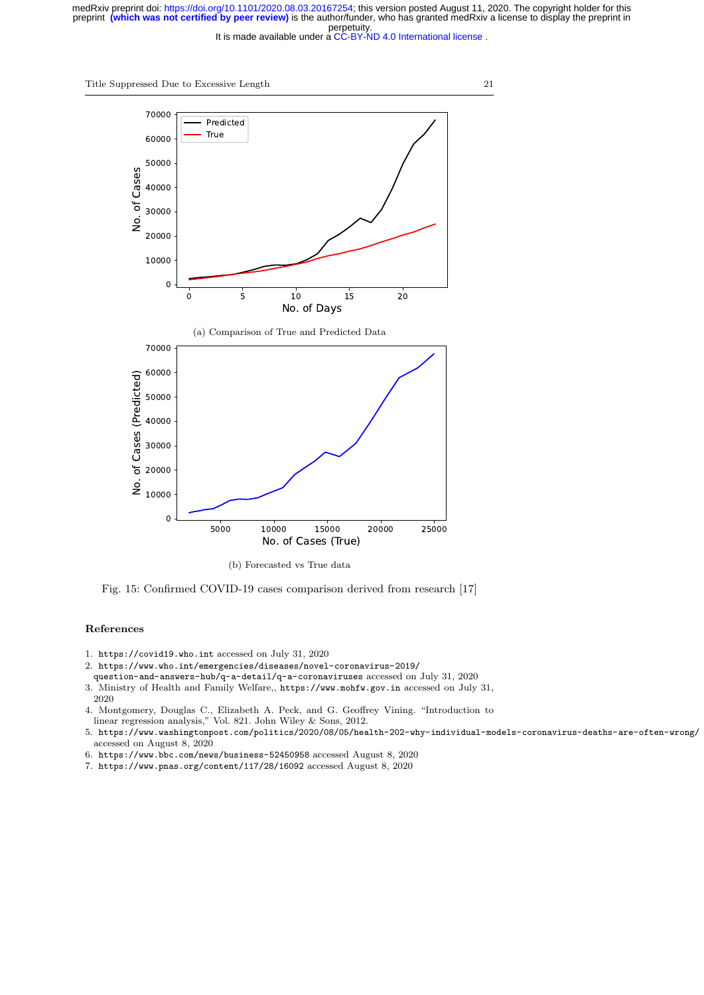It is made available under a CC-BY-ND 4.0 International license.

Title Suppressed Due to Excessive Length 21



(b) Forecasted vs True data

Fig. 15: Confirmed COVID-19 cases comparison derived from research [17]

## References

- 1. https://covid19.who.int accessed on July 31, 2020
- 2. https://www.who.int/emergencies/diseases/novel-coronavirus-2019/ question-and-answers-hub/q-a-detail/q-a-coronaviruses accessed on July 31, 2020
- 3. Ministry of Health and Family Welfare,, https://www.mohfw.gov.in accessed on July 31, 2020
- 4. Montgomery, Douglas C., Elizabeth A. Peck, and G. Geoffrey Vining. "Introduction to linear regression analysis," Vol. 821. John Wiley & Sons, 2012.
- 5. https://www.washingtonpost.com/politics/2020/08/05/health-202-why-individual-models-coronavirus-deaths-are-often-wrong/ accessed on August 8, 2020
- 6. https://www.bbc.com/news/business-52450958 accessed August 8, 2020
- 7. https://www.pnas.org/content/117/28/16092 accessed August 8, 2020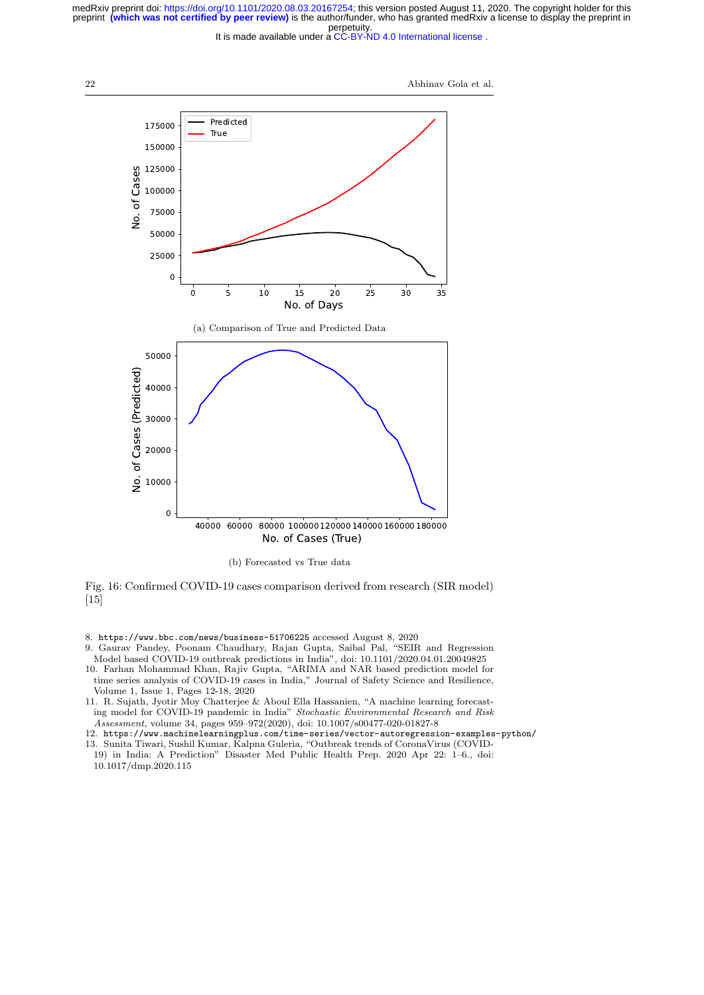It is made available under a CC-BY-ND 4.0 International license.



(b) Forecasted vs True data

Fig. 16: Confirmed COVID-19 cases comparison derived from research (SIR model)  $[15]$ 

- 8. https://www.bbc.com/news/business-51706225 accessed August 8, 2020
- 9. Gaurav Pandey, Poonam Chaudhary, Rajan Gupta, Saibal Pal, "SEIR and Regression Model based COVID-19 outbreak predictions in India", doi: 10.1101/2020.04.01.20049825
- 10. Farhan Mohammad Khan, Rajiv Gupta, "ARIMA and NAR based prediction model for time series analysis of COVID-19 cases in India," Journal of Safety Science and Resilience, Volume 1, Issue 1, Pages 12-18, 2020
- 11. R. Sujath, Jyotir Moy Chatterjee & Aboul Ella Hassanien, "A machine learning forecasting model for COVID-19 pandemic in India" Stochastic Environmental Research and Risk Assessment, volume 34, pages 959–972(2020), doi: 10.1007/s00477-020-01827-8
- 12. https://www.machinelearningplus.com/time-series/vector-autoregression-examples-python/ 13. Sunita Tiwari, Sushil Kumar, Kalpna Guleria, "Outbreak trends of CoronaVirus (COVID-19) in India: A Prediction" Disaster Med Public Health Prep. 2020 Apr 22: 1–6., doi:
- 10.1017/dmp.2020.115

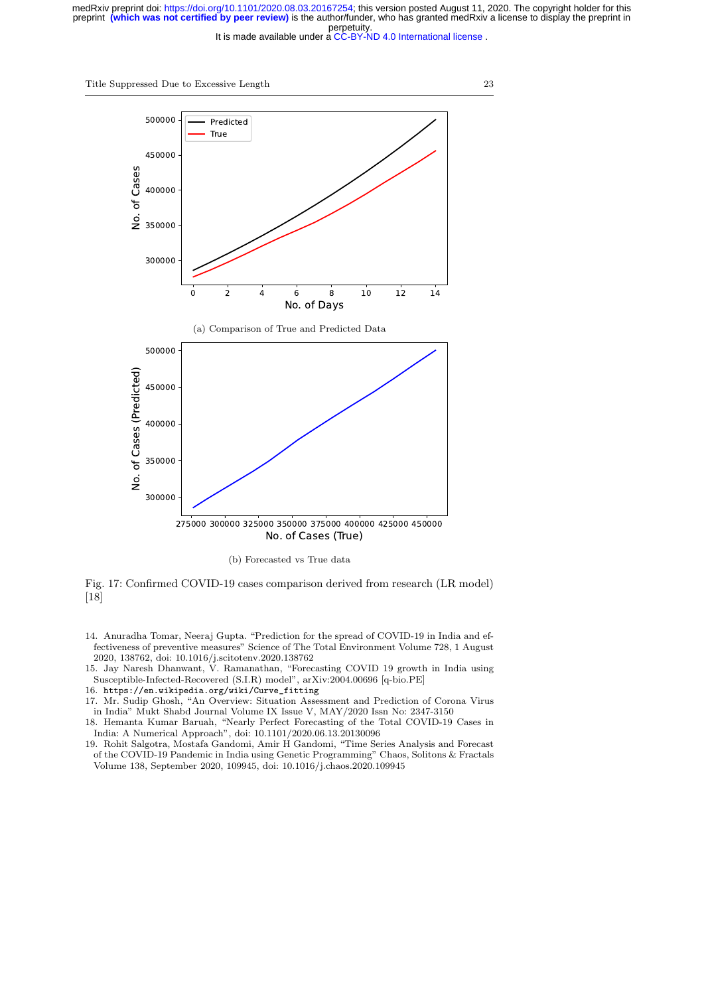It is made available under a CC-BY-ND 4.0 International license.





(b) Forecasted vs True data

Fig. 17: Confirmed COVID-19 cases comparison derived from research (LR model) [18]

- 14. Anuradha Tomar, Neeraj Gupta. "Prediction for the spread of COVID-19 in India and effectiveness of preventive measures" Science of The Total Environment Volume 728, 1 August 2020, 138762, doi: 10.1016/j.scitotenv.2020.138762
- 15. Jay Naresh Dhanwant, V. Ramanathan, "Forecasting COVID 19 growth in India using Susceptible-Infected-Recovered (S.I.R) model", arXiv:2004.00696 [q-bio.PE]
- 16. https://en.wikipedia.org/wiki/Curve\_fitting
- 17. Mr. Sudip Ghosh, "An Overview: Situation Assessment and Prediction of Corona Virus
- in India" Mukt Shabd Journal Volume IX Issue V, MAY/2020 Issn No: 2347-3150 18. Hemanta Kumar Baruah, "Nearly Perfect Forecasting of the Total COVID-19 Cases in India: A Numerical Approach", doi: 10.1101/2020.06.13.20130096
- 19. Rohit Salgotra, Mostafa Gandomi, Amir H Gandomi, "Time Series Analysis and Forecast of the COVID-19 Pandemic in India using Genetic Programming" Chaos, Solitons & Fractals
	- Volume 138, September 2020, 109945, doi: 10.1016/j.chaos.2020.109945